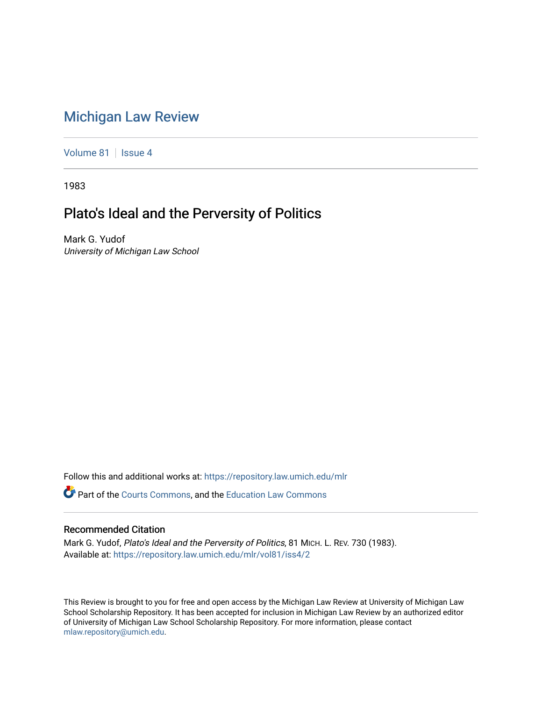# [Michigan Law Review](https://repository.law.umich.edu/mlr)

[Volume 81](https://repository.law.umich.edu/mlr/vol81) | [Issue 4](https://repository.law.umich.edu/mlr/vol81/iss4)

1983

# Plato's Ideal and the Perversity of Politics

Mark G. Yudof University of Michigan Law School

Follow this and additional works at: [https://repository.law.umich.edu/mlr](https://repository.law.umich.edu/mlr?utm_source=repository.law.umich.edu%2Fmlr%2Fvol81%2Fiss4%2F2&utm_medium=PDF&utm_campaign=PDFCoverPages) 

**C**<sup> $\bullet$ </sup> Part of the [Courts Commons,](http://network.bepress.com/hgg/discipline/839?utm_source=repository.law.umich.edu%2Fmlr%2Fvol81%2Fiss4%2F2&utm_medium=PDF&utm_campaign=PDFCoverPages) and the [Education Law Commons](http://network.bepress.com/hgg/discipline/596?utm_source=repository.law.umich.edu%2Fmlr%2Fvol81%2Fiss4%2F2&utm_medium=PDF&utm_campaign=PDFCoverPages)

## Recommended Citation

Mark G. Yudof, Plato's Ideal and the Perversity of Politics, 81 MICH. L. REV. 730 (1983). Available at: [https://repository.law.umich.edu/mlr/vol81/iss4/2](https://repository.law.umich.edu/mlr/vol81/iss4/2?utm_source=repository.law.umich.edu%2Fmlr%2Fvol81%2Fiss4%2F2&utm_medium=PDF&utm_campaign=PDFCoverPages)

This Review is brought to you for free and open access by the Michigan Law Review at University of Michigan Law School Scholarship Repository. It has been accepted for inclusion in Michigan Law Review by an authorized editor of University of Michigan Law School Scholarship Repository. For more information, please contact [mlaw.repository@umich.edu.](mailto:mlaw.repository@umich.edu)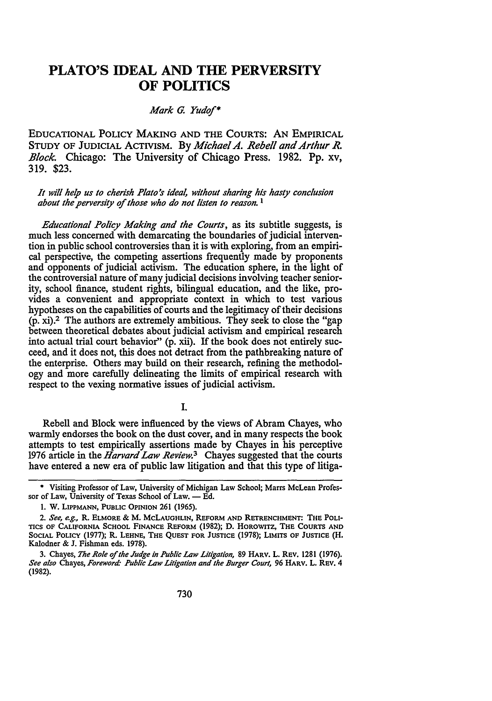# **PLATO'S IDEAL AND THE PERVERSITY OF POLITICS**

### *Mark G. Yudof\**

EDUCATIONAL POLICY MAKING AND THE COURTS: AN EMPIRICAL STUDY OF JUDICIAL ACTIVISM. By *Michael A. Rebell and Arthur R. Block.* Chicago: The University of Chicago Press. 1982. Pp. xv, 319. \$23.

*It will help us to cherish Plato's ideal, without sharing his hasty conclusion about the perversity of those who do not listen to reason.* <sup>1</sup>

*Educational Policy Making and the Courts,* as its subtitle suggests, is much less concerned with demarcating the boundaries of judicial intervention in public school controversies than it is with exploring, from an empirical perspective, the competing assertions frequently made by proponents and opponents of judicial activism. The education sphere, in the light of the controversial nature of many judicial decisions involving teacher seniority, school finance, student rights, bilingual education, and the like, provides a convenient and appropriate context in which to test various hypotheses on the capabilities of courts and the legitimacy of their decisions (p. xi).2 The authors are extremely ambitious. They seek to close the "gap between theoretical debates about judicial activism and empirical research into actual trial court behavior'' (p. xii). If the book does not entirely succeed, and it does not, this does not detract from the pathbreaking nature of the enterprise. Others may build on their research, refining the methodology and more carefully delineating the limits of empirical research with respect to the vexing normative issues of judicial activism.

I.

Rebell and Block were influenced by the views of Abram Chayes, who warmly endorses the book on the dust cover, and in many respects the book attempts to test empirically assertions made by Chayes in his perceptive 1976 article in the *Harvard Law Review.*<sup>3</sup>Chayes suggested that the courts have entered a new era of public law litigation and that this type of litiga-

<sup>\*</sup> Visiting Professor of Law, University of Michigan Law School; Marrs McLean Professor of Law, University of Texas School of Law. - Ed.

<sup>1.</sup> W. LIPPMANN, PUBLIC OPINION 261 (1965).

<sup>2.</sup> *See, e.g.,* **R.** ELMORE & M. McLAUGHLIN, REFORM AND RETRENCHMENT: THE Pou-TICS OF CALIFORNIA SCHOOL FINANCE REFORM (1982); D. HOROWITZ, THE COURTS AND SOCIAL POLICY (1977); R. LEHNE, THE QUEST FOR JUSTICE (1978); LIMITS OF JUSTICE. **(H.**  Kalodner & J. Fishman eds. 1978).

<sup>3.</sup> Chayes, *The Role of the Judge in Public Law Litigation,* 89 HARV. L. REV. 1281 (1976). *See also* Chayes, *Foreword· Public Law Litigation and the Burger Court,* 96 HARV. L. REV. 4 (1982).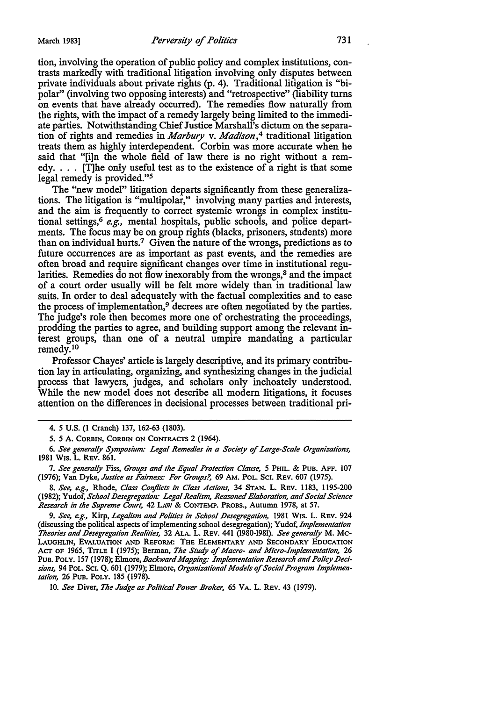tion, involving the operation of public policy and complex institutions, contrasts markedly with traditional litigation involving only disputes between private individuals about private rights (p. 4). Traditional litigation is "bipolar" (involving two opposing interests) and "retrospective" (liability turns on events that have already occurred). The remedies flow naturally from the rights, with the impact of a remedy largely being limited to the immediate parties. Notwithstanding Chief Justice Marshall's dictum on the separation of rights and remedies in *Marbury* v. *Madison,*<sup>4</sup>traditional litigation treats them as highly interdependent. Corbin was more accurate when he said that "[i]n the whole field of law there is no right without a remedy. . . . [T]he only useful test as to the existence of a right is that some legal remedy is provided."<sup>5</sup>

The "new model" litigation departs significantly from these generalizations. The litigation is "multipolar," involving many parties and interests, and the aim is frequently to correct systemic wrongs in complex institutional settings,6 *e.g.,* mental hospitals, public schools, and police departments. The focus may be on group rights (blacks, prisoners, students) more than on individual hurts.7 Given the nature of the wrongs, predictions as to future occurrences are as important as past events, and the remedies are often broad and require significant changes over time in institutional regularities. Remedies do not flow inexorably from the wrongs, $\delta$  and the impact of a court order usually will be felt more widely than in traditional law suits. In order to deal adequately with the factual complexities and to ease the process of implementation,<sup>9</sup> decrees are often negotiated by the parties. The judge's role then becomes more one of orchestrating the proceedings, prodding the parties to agree, and building support among the relevant interest groups, than one of a neutral umpire mandating a particular remedy. <sup>10</sup>

Professor Chayes' article is largely descriptive, and its primary contribution lay in articulating, organizing, and synthesizing changes in the judicial process that lawyers, judges, and scholars only inchoately understood. While the new model does not describe all modern litigations, it focuses attention on the differences in decisional processes between traditional pri-

8. *See, e.g.,* Rhode, *Class Conflicts in Class Actions,* 34 STAN. L. REV. 1183, 1195-200 (1982); Yudof, *School Desegregation: Legal Realism, Reasoned Elaboration, and Social Science Research in the Supreme Court,* 42 LAW & CONTEMP. PROBS., Autumn 1978, at 57.

9. See, e.g., Kirp, Legalism and Politics in School Desegregation, 1981 W1s. L. REV. 924 (discussing the political aspects of implementing school desegregation); Yudof, *Implementation Theories and .Desegregation Realities,* 32 ALA. L. REV. 441 (1980-1981). *See generally* M. Mc-LAUGHLIN, EVALUATION AND REFORM: THE ELEMENTARY AND SECONDARY EDUCATION Acr OF 1965, TITLE I (1975); Berman, *The Study* of *Macro- and Micro-Implementation,* 26 PUB. POLY. 157 (1978); Elmore, *Backward Mapping: Implementation Research and Policy Decisions,* 94 PoL. Sci. Q. 601 (1979); Elmore, *Organizational Models* of *Social Program Implementation,* 26 PUB. POLY. 185 (1978).

10. *See* Diver, *The Judge as Political Power Broker, 65* VA. L. REV. 43 (1979).

<sup>4.</sup> *5* U.S. (l Cranch) 137, 162-63 (1803).

*<sup>5. 5</sup>* A. CORBIN, CORBIN ON CONTRACTS 2 (1964).

<sup>6.</sup> *See generally Symposium: Legal Remedies in a Society* of *Large-Scale Organizations,*  1981 W1s. L. REV. 861.

<sup>7.</sup> *See generally* Fiss, *Groups and the Equal Protection Clause, 5* PHIL. & PUB. AFF. 107 (1976); Van Dyke, *Justice as Fairness: For Groups?*, 69 Am. Pol. Sci. Rev. 607 (1975).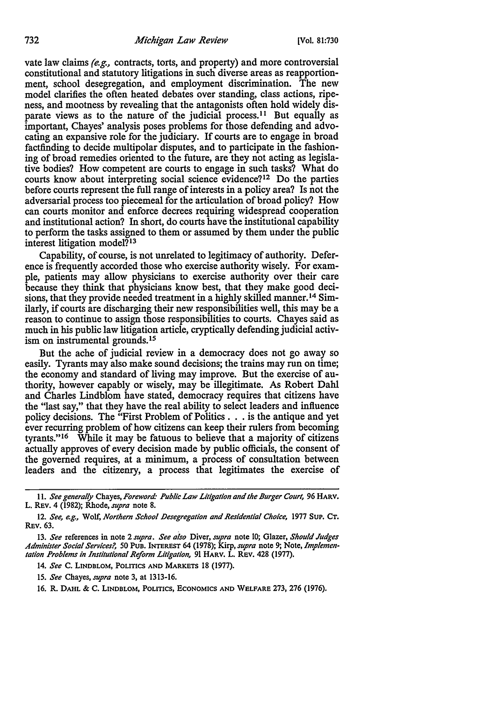vate law claims *(e.g.,* contracts, torts, and property) and more controversial constitutional and statutory litigations in such diverse areas as reapportionment, school desegregation, and employment discrimination. The new model clarifies the often heated debates over standing, class actions, ripeness, and mootness by revealing that the antagonists often hold widely disparate views as to the nature of the judicial process.<sup>11</sup> But equally as important, Chayes' analysis poses problems for those defending and advocating an expansive role for the judiciary. If courts are to engage in broad factfinding to decide multipolar disputes, and to participate in the fashioning of broad remedies oriented to the future, are they not acting as legislative bodies? How competent are courts to engage in such tasks? What do courts know about interpreting social science evidence?12 Do the parties before courts represent the full range of interests in a policy area? Is not the adversarial process too piecemeal for the articulation of broad policy? How can courts monitor and enforce decrees requiring widespread cooperation and institutional action? In short, do courts have the institutional capability to perform the tasks assigned to them or assumed by them under the public interest litigation model?<sup>13</sup>

Capability, of course, is not unrelated to legitimacy of authority. Deference is frequently accorded those who exercise authority wisely. For example, patients may allow physicians to exercise authority over their care because they think that physicians know best, that they make good decisions, that they provide needed treatment in a highly skilled manner. 14 Similarly, if courts are discharging their new responsibilities well, this may be a reason to continue to assign those responsibilities to courts. Chayes said as much in his public law litigation article, cryptically defending judicial activism on instrumental grounds.<sup>15</sup>

But the ache of judicial review in a democracy does not go away so easily. Tyrants may also make sound decisions; the trains may run on time; the economy and standard of living may improve. But the exercise of authority, however capably or wisely, may be illegitimate. As Robert Dahl and Charles Lindblom have stated, democracy requires that citizens have the "last say," that they have the real ability to select leaders and influence policy decisions. The "First Problem of Politics . . . is the antique and yet ever recurring problem of how citizens can keep their rulers from becoming tyrants."<sup>16</sup> While it may be fatuous to believe that a majority of citizens actually approves of every decision made by public officials, the consent of the governed requires, at a minimum, a process of consultation between leaders and the citizenry, a process that legitimates the exercise of

- 14. *See* C. LINDBLOM, POLITICS AND MARKETS 18 (1977).
- 15. *See* Chayes, *supra* note 3, at 1313-16.

#### 16. R. DAHL & C. LINDBLOM, POLITICS, ECONOMICS AND WELFARE 273, 276 (1976).

<sup>11.</sup> *See generally* Chayes, *Foreword· Public Law Litigation and the Burger Court,* 96 HARV. L. REV. 4 (1982); Rhode, *supra* note 8.

<sup>12.</sup> *See, eg.,* Wolf, *Nor/hem School JJesegregation and Residential Choice,* 1977 SUP. CT. REV. 63.

<sup>13.</sup> *See* references in note 2 *supra. See also* Diver, *supra* note 10; Glazer, *Should Judges Administer Social Services?,* 50 Pua. INTEREST 64 (1978); Kirp, *supra* note 9; Note, *Implemen• /ation Problems in Institutional Reform Litigation,* 91 HARV. L. REV. 428 (1977).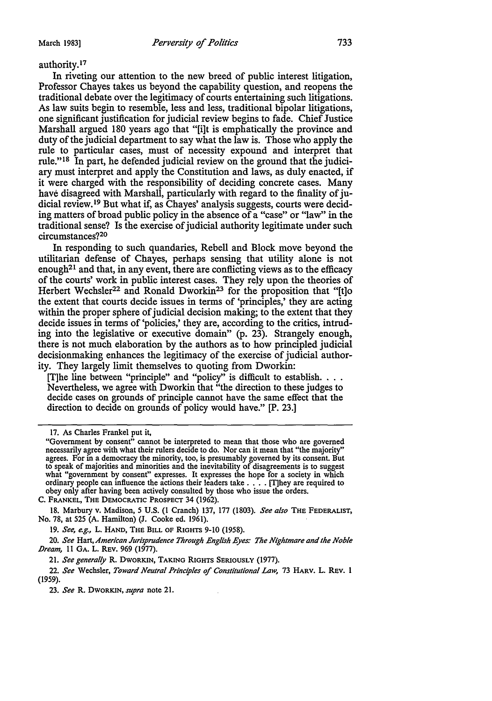### authority. <sup>17</sup>

In riveting our attention to the new breed of public interest litigation, Professor Chayes takes us beyond the capability question, and reopens the traditional debate over the legitimacy of courts entertaining such litigations. As law suits begin to resemble, less and less, traditional bipolar litigations, one significant justification for judicial review begins to fade. Chief Justice Marshall argued 180 years ago that "[i]t is emphatically the province and duty of the judicial department to say what the law is. Those who apply the rule to particular cases, must of necessity expound and interpret that rule."<sup>18</sup> In part, he defended judicial review on the ground that the judiciary must interpret and apply the Constitution and laws, as duly enacted, if it were charged with the responsibility of deciding concrete cases. Many have disagreed with Marshall, particularly with regard to the finality of judicial review. 19 But what if, as Chayes' analysis suggests, courts were deciding matters of broad public policy in the absence of a "case" or "law" in the traditional sense? Is the exercise of judicial authority legitimate under such circumstances?20

In responding to such quandaries, Rebell and Block move beyond the utilitarian defense of Chayes, perhaps sensing that utility alone is not enough<sup>21</sup> and that, in any event, there are conflicting views as to the efficacy of the courts' work in public interest cases. They rely upon the theories of Herbert Wechsler<sup>22</sup> and Ronald Dworkin<sup>23</sup> for the proposition that "[t]o the extent that courts decide issues in terms of 'principles,' they are acting within the proper sphere of judicial decision making; to the extent that they decide issues in terms of 'policies,' they are, according to the critics, intruding into the legislative or executive domain" (p. 23). Strangely enough, there is not much elaboration by the authors as to how principled judicial decisionmaking enhances the legitimacy of the exercise of judicial authority. They largely limit themselves to quoting from Dworkin:

[T]he line between "principle" and "policy'' is difficult to establish. . . . Nevertheless, we agree with Dworkin that "the direction to these judges to decide cases on grounds of principle cannot have the same effect that the direction to decide on grounds of policy would have." [P. 23.]

18. Marbury v. Madison, *5* U.S. (1 Cranch) 137, 177 (1803). *See also* THE FEDERALIST, No. 78, at 525 (A. Hamilton) (J. Cooke ed. 1961).

23. *See* R. DWORKIN, *supra* note 21.

<sup>17.</sup> As Charles Frankel put it,

<sup>&</sup>quot;Government by consent" cannot be interpreted to mean that those who are governed necessarily agree with what their rulers decide to do. Nor can it mean that "the majority" agrees. For in a democracy the minority, too, is presumably governed by its consent. But to speak of majorities and minorities and the inevitability of disagreements is to suggest what "government by consent" expresses. It expresses the hope for a society in which ordinary people can influence the actions their leaders take . . . . [T]hey are required to obey only after having been actively consulted by those who issue the orders.

C. FRANKEL, THE DEMOCRATIC PROSPECT 34 (1962).

<sup>19.</sup> *See, e.g.,* L. HAND, THE BILL OF RIGHTS 9-10 (1958).

<sup>20.</sup> *See* Hart, *American Jurisprudence Through English Eyes: The Nightmare and the Noble Dream, 11 GA. L. REV. 969 (1977).* 

<sup>21.</sup> *See generally* R. DWORKIN, TAKING RIGHTS SERIOUSLY (1977).

<sup>22.</sup> *See* Wechsler, *Toward Neutral Principles of Constitutional Law,* 73 HARV. L. REV. 1 (1959).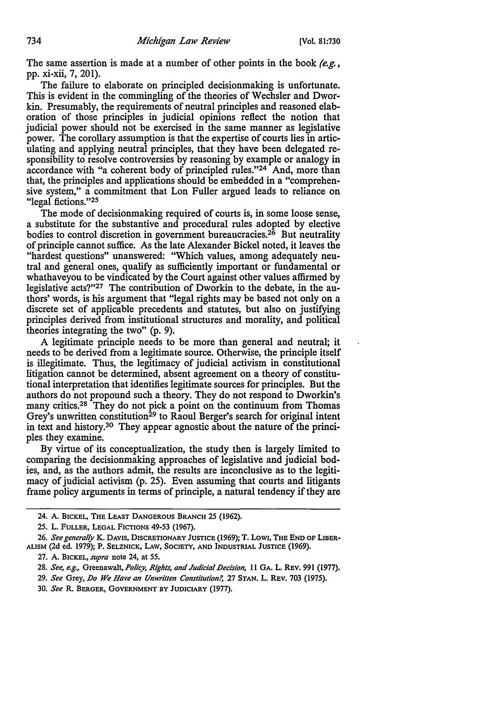The same assertion is made at a number of other points in the book *(e.g.* , pp. xi-xii, 7, 201).

The failure to elaborate on principled decisionmaking is unfortunate. This is evident in the commingling of the theories of Wechsler and Dworkin. Presumably, the requirements of neutral principles and reasoned elaboration of those principles in judicial opinions reflect the notion that judicial power should not be exercised in the same manner as legislative power. The corollary assumption is that the expertise of courts lies in articulating and applying neutral principles, that they have been delegated responsibility to resolve controversies by reasoning by example or analogy in accordance with "a coherent body of principled rules."<sup>24</sup> And, more than that, the principles and applications should be embedded in a "comprehensive system," a commitment that Lon Fuller argued leads to reliance on "legal fictions."<sup>25</sup>

The mode of decisionmaking required of courts is, in some loose sense, a substitute for the substantive and procedural rules adopted by elective bodies to control discretion in government bureaucracies.<sup>26</sup> But neutrality of principle cannot suffice. As the late Alexander Bickel noted, it leaves the "hardest questions" unanswered: ''Which values, among adequately neutral and general ones, qualify as sufficiently important or fundamental or whathaveyou to be vindicated by the Court against other values affirmed by legislative acts?"27 The contribution of Dworkin to the debate, in the authors' words, is his argument that "legal rights may be based not only on a discrete set of applicable precedents and statutes, but also on justifying principles derived from institutional structures and morality, and political theories integrating the two" (p. 9).

A legitimate principle needs to be more than general and neutral; it needs to be derived from a legitimate source. Otherwise, the principle itself is illegitimate. Thus, the legitimacy of judicial activism in constitutional litigation cannot be determined, absent agreement on a theory of constitutional interpretation that identifies legitimate sources for principles. But the authors do not propound such a theory. They do not respond to Dworkin's many critics.<sup>28</sup> They do not pick a point on the continuum from Thomas Grey's unwritten constitution<sup>29</sup> to Raoul Berger's search for original intent in text and history.30 They appear agnostic about the nature of the principles they examine.

By virtue of its conceptualization, the study then is largely limited to comparing the decisionmaking approaches of legislative and judicial bodies, and, as the authors admit, the results are inconclusive as to the legitimacy of judicial activism (p. 25). Even assuming that courts and litigants frame policy arguments in terms of principle, a natural tendency if they are

- 29. *See* Grey, *JJo We Have an Unwritten Constitution?, 21* STAN. L. REV. 703 (1975).
- 30. *See* R. BERGER, GOVERNMENT BY JUDICIARY (1977).

<sup>24.</sup> A. BICKEL, THE LEAST DANGEROUS BRANCH 25 (1962).

<sup>25.</sup> L. FULLER, LEGAL FICTIONS 49-53 (1967).

<sup>26.</sup> *See generally* K. DAVIS, DISCRETIONARY JUSTICE (1969); **T.** Low1, THE END OF LIBER· ALISM (2d ed. 1979); **P.** SELZNICK, LAW, SOCIETY, AND INDUSTRIAL JUSTICE (1969).

<sup>27.</sup> A. BICKEL, *supra* note 24, at 55.

<sup>28.</sup> See, e.g., Greenawalt, Policy, Rights, and Judicial Decision, 11 GA. L. REV. 991 (1977).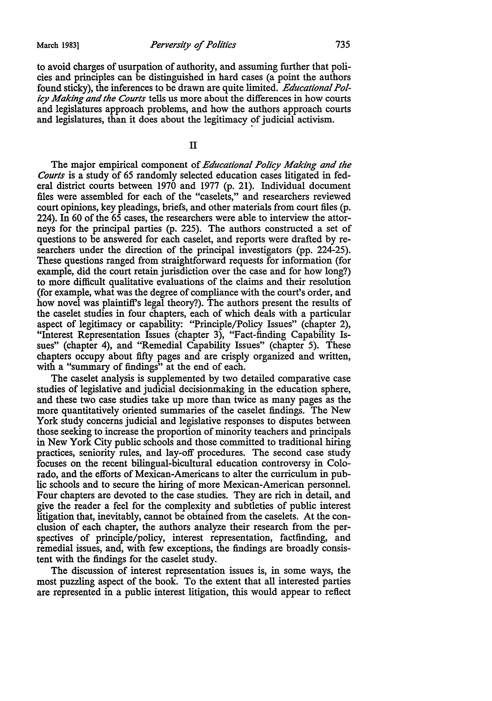to avoid charges of usurpation of authority, and assuming further that policies and principles can be distinguished in hard cases (a point the authors found sticky), the inferences to be drawn are quite limited. *Educational Policy Making and the Courts* tells us more about the differences in how courts and legislatures approach problems, and how the authors approach courts and legislatures, than it does about the legitimacy of judicial activism.

#### II

The major empirical component of *Educational Policy Making and the Courts* is a study of 65 randomly selected education cases litigated in federal district courts between 1970 and 1977 (p. 21). Individual document files were assembled for each of the "caselets," and researchers reviewed court opinions, key pleadings, briefs, and other materials from court files (p. 224). In 60 of the 65 cases, the researchers were able to interview the attorneys for the principal parties (p. 225). The authors constructed a set of questions to be answered for each caselet, and reports were drafted by researchers under the direction of the principal investigators (pp. 224-25). These questions ranged from straightforward requests for information (for example, did the court retain jurisdiction over the case and for how long?) to more difficult qualitative evaluations of the claims and their resolution (for example, what was the degree of compliance with the court's order, and how novel was plaintiff's legal theory?). The authors present the results of the caselet studies in four chapters, each of which deals with a particular aspect of legitimacy or capability: "Principle/Policy Issues" (chapter 2), "Interest Representation Issues (chapter 3), "Fact-finding Capability Issues" (chapter 4), and "Remedial Capability Issues" (chapter 5). These chapters occupy about fifty pages and are crisply organized and written, with a "summary of findings" at the end of each.

The caselet analysis is supplemented by two detailed comparative case studies of legislative and judicial decisionmaking in the education sphere, and these two case studies take up more than twice as many pages as the more quantitatively oriented summaries of the caselet findings. The New York study concerns judicial and legislative responses to disputes between those seeking to increase the proportion of minority teachers and principals in New York City public schools and those committed to traditional hiring practices, seniority rules, and lay-off procedures. The second case study focuses on the recent bilingual-bicultural education controversy in Colorado, and the efforts of Mexican-Americans to alter the curriculum in public schools and to secure the hiring of more Mexican-American personnel. Four chapters are devoted to the case studies. They are rich in detail, and give the reader a feel for the complexity and subtleties of public interest litigation that, inevitably, cannot be obtained from the caselets. At the conclusion of each chapter, the authors analyze their research from the perspectives of principle/policy, interest representation, factfinding, and remedial issues, and, with few exceptions, the findings are broadly consistent with the findings for the caselet study.

The discussion of interest representation issues is, in some ways, the most puzzling aspect of the book. To the extent that all interested parties are represented in a public interest litigation, this would appear to reflect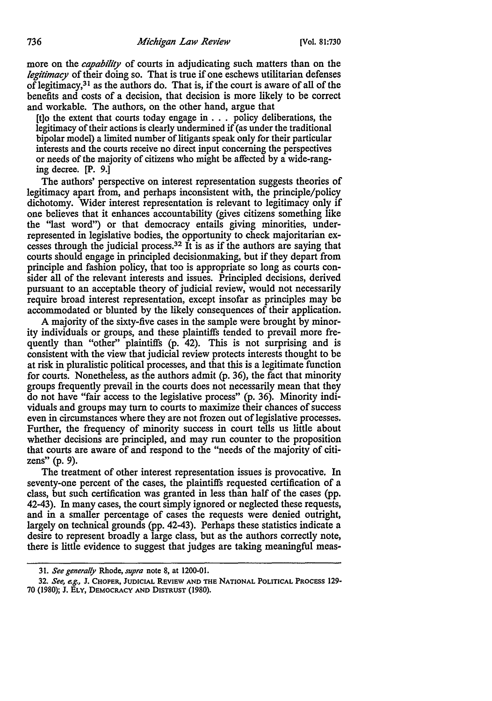more on the *capability* of courts in adjudicating such matters than on the *legitimacy* of their doing so. That is true if one eschews utilitarian defenses of legitimacy, $31$  as the authors do. That is, if the court is aware of all of the benefits and costs of a decision, that decision is more likely to be correct and workable. The authors, on the other hand, argue that

[t]o the extent that courts today engage in . . . policy deliberations, the legitimacy of their actions is clearly undermined if (as under the traditional bipolar model) a limited number of litigants speak only for their particular interests and the courts receive no direct input concerning the perspectives or needs of the majority of citizens who might be affected by a wide-ranging decree. [P. 9.]

The authors' perspective on interest representation suggests theories of legitimacy apart from, and perhaps inconsistent with, the principle/policy dichotomy. Wider interest representation is relevant to legitimacy only if one believes that it enhances accountability (gives citizens something like the "last word") or that democracy entails giving minorities, underrepresented in legislative bodies, the opportunity to check majoritarian excesses through the judicial process.32 It is as if the authors are saying that courts should engage in principled decisionmaking, but if they depart from principle and fashion policy, that too is appropriate so long as courts consider all of the relevant interests and issues. Principled decisions, derived pursuant to an acceptable theory of judicial review, would not necessarily require broad interest representation, except insofar as principles may be accommodated or blunted by the likely consequences of their application.

A majority of the sixty-five cases in the sample were brought by minority individuals or groups, and these plaintiffs tended to prevail more frequently than "other'' plaintiffs (p. 42). This is not surprising and is consistent with the view that judicial review protects interests thought to be at risk in pluralistic political processes, and that this is a legitimate function for courts. Nonetheless, as the authors admit (p. 36), the fact that minority groups frequently prevail in the courts does not necessarily mean that they do not have "fair access to the legislative process" (p. 36). Minority individuals and groups may tum to courts to maximize their chances of success even in circumstances where they are not frozen out of legislative processes. Further, the frequency of minority success in court tells us little about whether decisions are principled, and may run counter to the proposition that courts are aware of and respond to the "needs of the majority of citizens" (p. 9).

The treatment of other interest representation issues is provocative. In seventy-one percent of the cases, the plaintiffs requested certification of a class, but such certification was granted in less than half of the cases (pp. 42-43). In many cases, the court simply ignored or neglected these requests, and in a smaller percentage of cases the requests were denied outright, largely on technical grounds (pp. 42-43). Perhaps these statistics indicate a desire to represent broadly a large class, but as the authors correctly note, there is little evidence to suggest that judges are taking meaningful meas-

<sup>31.</sup> *See generally* Rhode, *supra* note 8, at 1200-01.

<sup>32.</sup> *See, e.g.,* J. CHOPER, JUDICIAL REVIEW AND THE NATIONAL POLITICAL PROCESS 129- 70 (1980); J. ELY, DEMOCRACY AND DISTRUST (1980).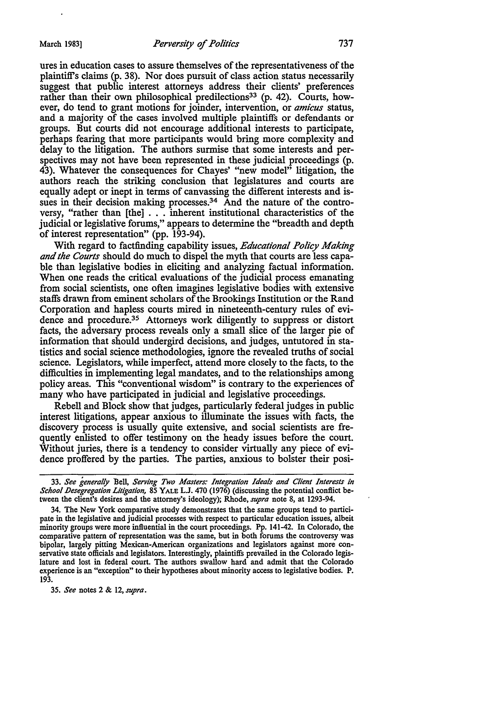ures in education cases to assure themselves of the representativeness of the plaintiffs claims (p. 38). Nor does pursuit of class action status necessarily suggest that public interest attorneys address their clients' preferences rather than their own philosophical predilections<sup>33</sup> (p. 42). Courts, however, do tend to grant motions for joinder, intervention, or *amicus* status, and a majority of the cases involved multiple plaintiffs or defendants or groups. But courts did not encourage additional interests to participate, perhaps fearing that more participants would bring more complexity and delay to the litigation. The authors surmise that some interests and perspectives may not have been represented in these judicial proceedings (p. 43). Whatever the consequences for Chayes' "new model" litigation, the authors reach the striking conclusion that legislatures and courts are equally adept or inept in terms of canvassing the different interests and issues in their decision making processes.<sup>34</sup> And the nature of the controversy, "rather than [the] ... inherent institutional characteristics of the judicial or legislative forums," appears to determine the "breadth and depth of interest representation" (pp. 193-94).

With regard to factfinding capability issues, *Educational Policy Making and the Courts* should do much to dispel the myth that courts are less capable than legislative bodies in eliciting and analyzing factual information. When one reads the critical evaluations of the judicial process emanating from social scientists, one often imagines legislative bodies with extensive staffs drawn from eminent scholars of the Brookings Institution or the Rand Corporation and hapless courts mired in nineteenth-century rules of evidence and procedure.35 Attorneys work diligently to suppress or distort facts, the adversary process reveals only a small slice of the larger pie of information that should undergird decisions, and judges, untutored in statistics and social science methodologies, ignore the revealed truths of social science. Legislators, while imperfect, attend more closely to the facts, to the difficulties in implementing legal mandates, and to the relationships among policy areas. This "conventional wisdom" is contrary to the experiences of many who have participated in judicial and legislative proceedings.

Rebell and Block show that judges, particularly federal judges in public interest litigations, appear anxious to illuminate the issues with facts, the discovery process is usually quite extensive, and social scientists are frequently enlisted to offer testimony on the heady issues before the court. Without juries, there is a tendency to consider virtually any piece of evidence proffered by the parties. The parties, anxious to bolster their posi-

35. *See* notes 2 & 12, *supra.* 

<sup>33.</sup> *See generally* Dell, *Serving Two Masters: Integration Ideals and Client Interests in*  School Desegregation Litigation, 85 YALE L.J. 470 (1976) (discussing the potential conflict between the client's desires and the attorney's ideology); Rhode, *supra* note 8, at 1293-94.

<sup>34.</sup> The New York comparative study demonstrates that the same groups tend to participate in the legislative and judicial processes with respect to particular education issues, albeit minority groups were more influential in the court proceedings. Pp. 141-42. In Colorado, the comparative pattern of representation was the same, but in both forums the controversy was bipolar, largely pitting Mexican-American organizations and legislators against more conservative state officials and legislators. Interestingly, plaintiffs prevailed in the Colorado legislature and lost in federal court. The authors swallow hard and admit that the Colorado experience is an "exception" to their hypotheses about minority access to legislative bodies. P. 193.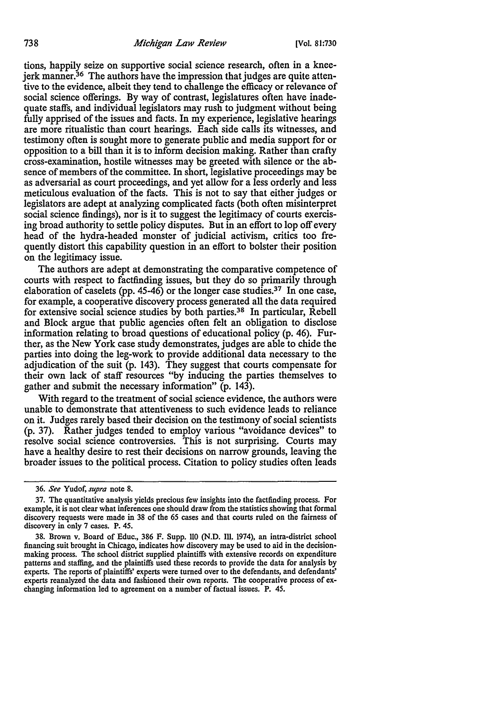tions, happily seize on supportive social science research, often in a kneejerk manner.<sup>36</sup> The authors have the impression that judges are quite attentive to the evidence, albeit they tend to challenge the efficacy or relevance of social science offerings. By way of contrast, legislatures often have inadequate staffs, and individual legislators may rush to judgment without being fully apprised of the issues and facts. In my experience, legislative hearings are more ritualistic than court hearings. Each side calls its witnesses, and testimony often is sought more to generate public and media support for or opposition to a bill than it is to inform decision making. Rather than crafty cross-examination, hostile witnesses may be greeted with silence or the absence of members of the committee. In short, legislative proceedings may be as adversarial as court proceedings, and yet allow for a less orderly and less meticulous evaluation of the facts. This is not to say that either judges or legislators are adept at analyzing complicated facts (both often misinterpret social science findings), nor is it to suggest the legitimacy of courts exercising broad authority to settle policy disputes. But in an effort to lop off every head of the hydra-headed monster of judicial activism, critics too frequently distort this capability question in an effort to bolster their position on the legitimacy issue.

The authors are adept at demonstrating the comparative competence of courts with respect to factfinding issues, but they do so primarily through elaboration of caselets (pp. 45-46) or the longer case studies. $37$  In one case, for example, a cooperative discovery process generated all the data required for extensive social science studies by both parties.38 In particular, Rebell and Block argue that public agencies often felt an obligation to disclose information relating to broad questions of educational policy (p. 46). Further, as the New York case study demonstrates, judges are able to chide the parties into doing the leg-work to provide additional data necessary to the adjudication of the suit (p. 143). They suggest that courts compensate for their own lack of staff resources "by inducing the parties themselves to gather and submit the necessary information" (p. 143).

With regard to the treatment of social science evidence, the authors were unable to demonstrate that attentiveness to such evidence leads to reliance on it. Judges rarely based their decision on the testimony of social scientists (p. 37). Rather judges tended to employ various "avoidance devices" to resolve social science controversies. This is not surprising. Courts may have a healthy desire to rest their decisions on narrow grounds, leaving the broader issues to the political process. Citation to policy studies often leads

<sup>36.</sup> *See* Yudof, *supra* note 8.

<sup>37.</sup> The quantitative analysis yields precious few insights into the factfinding process. For example, it is not clear what inferences one should draw from the statistics showing that formal discovery requests were made in 38 of the 65 cases and that courts ruled on the fairness of discovery in only 7 cases. P. 45.

<sup>38.</sup> Brown v. Board of Educ., 386 F. Supp. 110 (N.D. Ill. 1974), an intra-district school financing suit brought in Chicago, indicates how discovery may be used to aid in the decisionmaking process. The school district supplied plaintiffs with extensive records on expenditure patterns and staffing, and the plaintiffs used these records to provide the data for analysis by experts. The reports of plaintiffs' experts were turned over to the defendants, and defendants' experts reanalyzed the data and fashioned their own reports. The cooperative process of exchanging information led to agreement on a number of factual issues. P. 45.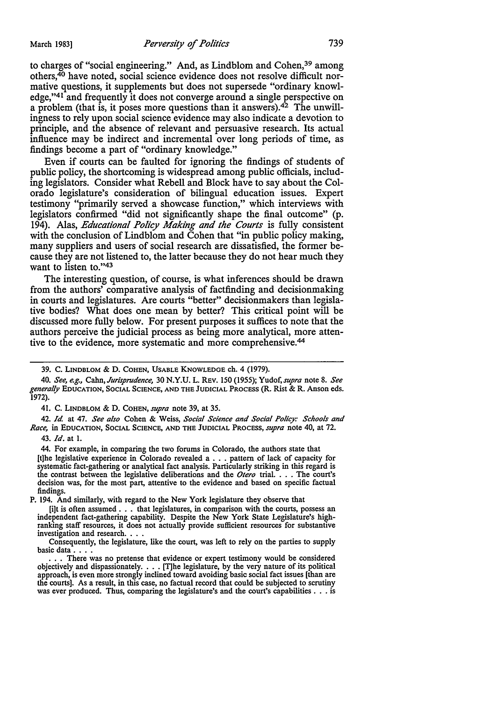to charges of "social engineering." And, as Lindblom and Cohen,<sup>39</sup> among others,40 have noted, social science evidence does not resolve difficult normative questions, it supplements but does not supersede "ordinary knowledge,"41 and frequently it does not converge around a single perspective on a problem (that is, it poses more questions than it answers). $42$  The unwillingness to rely upon social science evidence may also indicate a devotion to principle, and the absence of relevant and persuasive research. Its actual influence may be indirect and incremental over long periods of time, as findings become a part of "ordinary knowledge."

Even if courts can be faulted for ignoring the findings of students of public policy, the shortcoming is widespread among public officials, including legislators. Consider what Rebell and Block have to say about the Colorado legislature's consideration of bilingual education issues. Expert testimony "primarily served a showcase function," which interviews with legislators confirmed "did not significantly shape the final outcome" (p. 194). Alas, *Educational Policy Making and the Courts* is fully consistent with the conclusion of Lindblom and Cohen that "in public policy making, many suppliers and users of social research are dissatisfied, the former because they are not listened to, the latter because they do not hear much they want to listen to."43

The interesting question, of course, is what inferences should be drawn from the authors' comparative analysis of factfinding and decisionmaking in courts and legislatures. Are courts "better" decisionmakers than legislative bodies? What does one mean by better? This critical point will be discussed more fully below. For present purposes it suffices to note that the authors perceive the judicial process as being more analytical, more attentive to the evidence, more systematic and more comprehensive.<sup>44</sup>

41. C. LINDBLOM & D. COHEN, *supra* note 39, at 35.

42. *Id.* at 47. *See also* Cohen & Weiss, *Social Science and Social Policy: Schools and Race,* in EDUCATION, SOCIAL SCIENCE, AND THE JUDICIAL PROCESS, *supra* note 40, at 72.

43. *Id.* at I.

44. For example, in comparing the two forums in Colorado, the authors state that [t]he legislative experience in Colorado revealed a ... pattern of lack of capacity for systematic fact-gathering or analytical fact analysis. Particularly striking in this regard is the contrast between the legislative deliberations and the *Otero* trial. . . . The court's decision was, for the most part, attentive to the evidence and based on specific factual findings.

P. 194. And similarly, with regard to the New York legislature they observe that

[i]t is often assumed . . . that legislatures, in comparison with the courts, possess an independent fact-gathering capability. Despite the New York State Legislature's highranking staff resources, it does not actually provide sufficient resources for substantive investigation and research. . . .

Consequently, the legislature, like the court, was left to rely on the parties to supply basic data . . .

.. There was no pretense that evidence or expert testimony would be considered objectively and dispassionately.  $\ldots$  [T]he legislature, by the very nature of its political approach, is even more strongly inclined toward avoiding basic social fact issues [than are the courts]. As a result, in this case, no factual record that could be subjected to scrutiny was ever produced. Thus, comparing the legislature's and the court's capabilities . . . is

<sup>39.</sup> C. LINDBLOM & D. COHEN, USABLE KNOWLEDGE ch. 4 (1979).

<sup>40.</sup> *See, e.g., Cahn,Jurisprudence,* 30 **N.Y.U.** L. REV. 150 (1955); *Yudof,supra* note 8. *See generally* EDUCATION, SOCIAL SCIENCE, AND THE JUDICIAL PROCESS **(R.** Rist & **R.** Anson eds. 1972).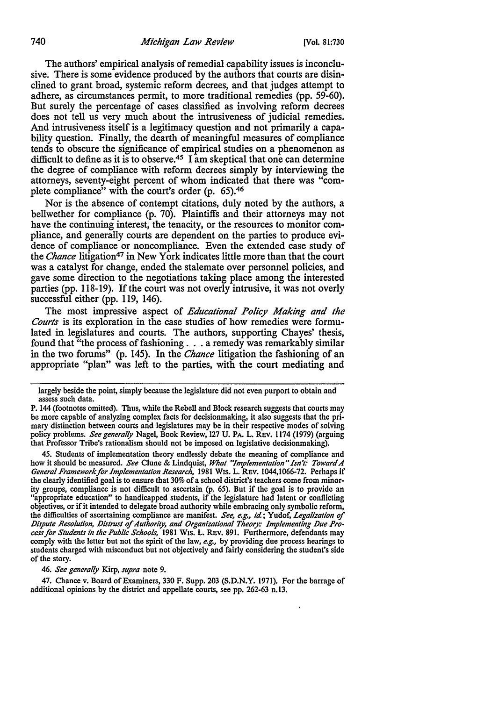The authors' empirical analysis of remedial capability issues is inconclusive. There is some evidence produced by the authors that courts are disinclined to grant broad, systemic reform decrees, and that judges attempt to adhere, as circumstances permit, to more traditional remedies (pp. 59-60). But surely the percentage of cases classified as involving reform decrees does not tell us very much about the intrusiveness of judicial remedies. And intrusiveness itself is a legitimacy question and not primarily a capability question. Finally, the dearth of meaningful measures of compliance tends to obscure the significance of empirical studies on a phenomenon as difficult to define as it is to observe.<sup>45</sup> I am skeptical that one can determine the degree of compliance with reform decrees simply by interviewing the attorneys, seventy-eight percent of whom indicated that there was "complete compliance" with the court's order (p. 65).46

Nor is the absence of contempt citations, duly noted by the authors, a bellwether for compliance (p. 70). Plaintiffs and their attorneys may not have the continuing interest, the tenacity, or the resources to monitor compliance, and generally courts are dependent on the parties to produce evidence of compliance or noncompliance. Even the extended case study of the *Chance* litigation<sup>47</sup> in New York indicates little more than that the court was a catalyst for change, ended the stalemate over personnel policies, and gave some direction to the negotiations taking place among the interested parties (pp. 118-19). If the court was not overly intrusive, it was not overly successful either (pp. 119, 146).

The most impressive aspect of *Educational Policy Making and tire Courts* is its exploration in the case studies of how remedies were formulated in legislatures and courts. The authors, supporting Chayes' thesis, found that "the process of fashioning . . . a remedy was remarkably similar in the two forums" (p. 145). In the *Chance* litigation the fashioning of an appropriate "plan" was left to the parties, with the court mediating and

45. Students of implementation theory endlessly debate the meaning of compliance and how it should be measured. *See* Clune & Lindquist, *Whal "Implemenlalion" Isn't: Toward A General Framework far Implementation Research,* 1981 Wis. L. REV. 1044,1066-72. Perhaps if the clearly identified goal is to ensure that 30% of a school district's teachers come from minority groups, compliance is not difficult to ascertain (p. 65). But if the goal is to provide an "appropriate education" to handicapped students, if the legislature had latent or conflicting objectives, or ifit intended to delegate broad authority while embracing only. symbolic reform, the difficulties of ascertaining compliance are manifest. *See, e.g., id;* Yudof, *Legalization* of *J)ispute Resolution, J)istrust* of *Authority, and Organizational Theory: Implementing J)ue Process far Students in the Public Schools,* 1981 Wis. L. REV. 891. Furthermore, defendants may comply with the letter but not the spirit of the law, *e.g.,* by providing due process hearings to students charged with misconduct but not objectively and fairly considering the student's side of the story.

46. *See generally* Kirp, *supra* note 9.

47. Chance v. Board of Examiners, 330 F. Supp. 203 (S.D.N.Y. 1971). For the barrage of additional opinions by the district and appellate courts, see pp. 262-63 n.13.

largely beside the point, simply because the legislature did not even purport to obtain and assess such data.

P. 144 (footnotes omitted). Thus, while the Rebell and Block research suggests that courts may be more capable of analyzing complex facts for decisionmaking, it also suggests that the primary distinction between courts and legislatures may be in their respective modes of solving policy problems. *See generally* Nagel, Book Review, 127 U. PA. L. REV. 1174 (1979) (arguing that Professor Tribe's rationalism should not be imposed on legislative decisionmaking).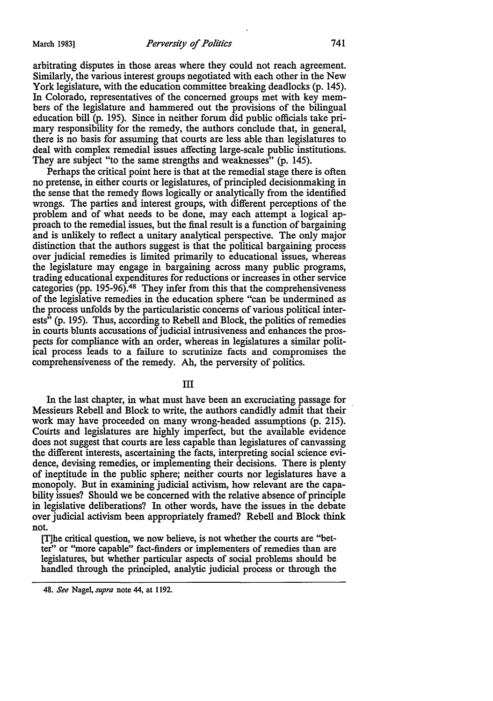arbitrating disputes in those areas where they could not reach agreement. Similarly, the various interest groups negotiated with each other in the New York legislature, with the education committee breaking deadlocks (p. 145). In Colorado, representatives of the concerned groups met with key members of the legislature and hammered out the provisions of the bilingual education bill (p. 195). Since in neither forum did public officials take primary responsibility for the remedy, the authors conclude that, in general, there is no basis for assuming that courts are less able than legislatures to deal with complex remedial issues affecting large-scale public institutions. They are subject "to the same strengths and weaknesses" (p. 145).

Perhaps the critical point here is that at the remedial stage there is often no pretense, in either courts or legislatures, of principled decisionmaking in the sense that the remedy flows logically or analytically from the identified wrongs. The parties and interest groups, with different perceptions of the problem and of what needs to be done, may each attempt a logical approach to the remedial issues, but the final result is a function of bargaining and is unlikely to reflect a unitary analytical perspective. The only major distinction that the authors suggest is that the political bargaining process over judicial remedies is limited primarily to educational issues, whereas the legislature may engage in bargaining across many public programs, trading educational expenditures for reductions or increases in other service categories (pp. 195-96).48 They infer from this that the comprehensiveness of the legislative remedies in the education sphere "can be undermined as the process unfolds by the particularistic concerns of various political interests" (p. 195). Thus, according to Rebell and Block, the politics of remedies in courts blunts accusations of judicial intrusiveness and enhances the prospects for compliance with an order, whereas in legislatures a similar political process leads to a failure to scrutinize facts and compromises the comprehensiveness of the remedy. Ah, the perversity of politics.

III

In the last chapter, in what must have been an excruciating passage for Messieurs Rebell and Block to write, the authors candidly admit that their work may have proceeded on many wrong-headed assumptions (p. 215). Courts and legislatures are highly imperfect, but the available evidence does not suggest that courts are less capable than legislatures of canvassing the different interests, ascertaining the facts, interpreting social science evidence, devising remedies, or implementing their decisions. There is plenty of ineptitude in the public sphere; neither courts nor legislatures have a monopoly. But in examining judicial activism, how relevant are the capability issues? Should we be concerned with the relative absence of principle in legislative deliberations? In other words, have the issues in the debate over judicial activism been appropriately framed? Rebell and Block think not.

[T]he critical question, we now believe, is not whether the courts are "better" or "more capable" fact-finders or implementers of remedies than are legislatures, but whether particular aspects of social problems should be handled through the principled, analytic judicial process or through the

<sup>48.</sup> *See* Nagel, *supra* note 44, at 1192.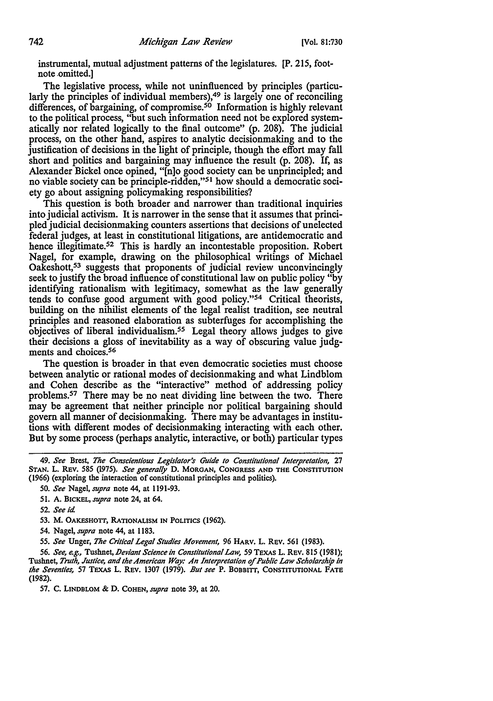instrumental, mutual adjustment patterns of the legislatures. [P. 215, footnote omitted.]

The legislative process, while not uninfluenced by principles (particularly the principles of individual members),<sup>49</sup> is largely one of reconciling differences, of bargaining, of compromise.<sup>50</sup> Information is highly relevant to the political process, "but such information need not be explored systematically nor related logically to the final outcome" (p. 208). The judicial process, on the other hand, aspires to analytic decisionmaking and to the justification of decisions in the light of principle, though the effort may fall short and politics and bargaining may influence the result (p. 208). If, as Alexander Bickel once opined, "[n]o good society can be unprincipled; and no viable society can be principle-ridden,"51 how should a democratic society go about assigning policymaking responsibilities?

This question is both broader and narrower than traditional inquiries into judicial activism. It is narrower in the sense that it assumes that principled judicial decisionmaking counters assertions that decisions of unelected federal judges, at least in constitutional litigations, are antidemocratic and hence illegitimate.<sup>52</sup> This is hardly an incontestable proposition. Robert Nagel, for example, drawing on the philosophical writings of Michael Oakeshott,53 suggests that proponents of judicial review unconvincingly seek to justify the broad influence of constitutional law on public policy "by identifying rationalism with legitimacy, somewhat as the law generally tends to confuse good argument with good policy."54 Critical theorists, building on the nihilist elements of the legal realist tradition, see neutral principles and reasoned elaboration as subterfuges for accomplishing the objectives of liberal individualism.55 Legal theory allows judges to give their decisions a gloss of inevitability as a way of obscuring value judgments and choices. 56

The question is broader in that even democratic societies must choose between analytic or rational modes of decisionmaking and what Lindblom and Cohen describe as the "interactive" method of addressing policy problems.57 There may be no neat dividing line between the two. There may be agreement that neither principle nor political bargaining should govern all manner of decisionmaking. There may be advantages in institutions with different modes of decisionmaking interacting with each other. But by some process (perhaps analytic, interactive, or both) particular types

54. Nagel, *supra* note 44, at 1183.

55. *See* Unger, *The Critical Legal Studies Movement,* 96 HARV. L. REV. 561 (1983).

56. *See, e.g., Tushnet,Deviant Science in Constitutional Law,* 59 TEXAS L. REV. 815 (1981); Tushnet, *Truth, Justice, and the American Way: An Interpretation of Public Law Scholarship In the Seventies, 51* TEXAS L. REV. 1307 (1979). *But see* P. BOBBITT, CONSTITUTIONAL FATE (1982).

57. C. LINDBLOM & D. COHEN, *supra* note 39, at 20.

<sup>49.</sup> *See* Brest, *The Conscientious Legislator's Guide to Constitutional Interpretation,* 27 STAN. L. REv. 585 (1975). *See generally* D. MORGAN, CONGRESS AND THE CONSTITUTION (1966) (exploring the interaction of constitutional principles and politics).

<sup>50.</sup> *See* Nagel, *supra* note 44, at 1191-93.

<sup>51.</sup> A. BICKEL, *supra* note 24, at 64.

<sup>52.</sup> *Seeid* 

<sup>53.</sup> M. OAKESHOTT, RATIONALISM IN POLITICS (1962).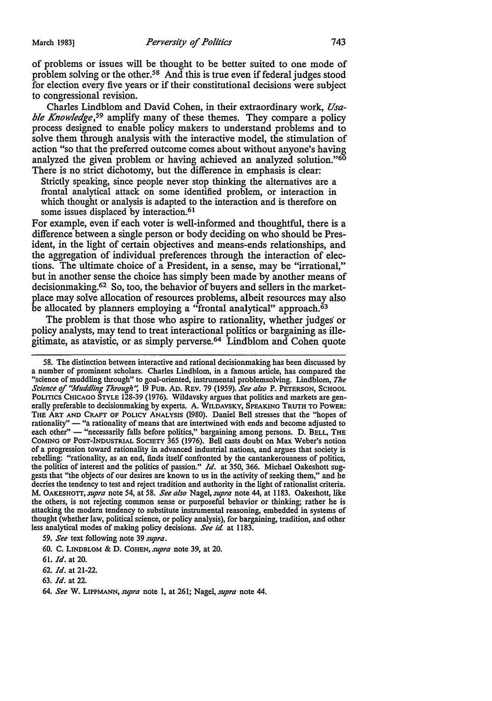of problems or issues will be thought to be better suited to one mode of problem solving or the other.58 And this is true even if federal judges stood for election every five years or if their constitutional decisions were subject to congressional revision.

Charles Lindblom and David Cohen, in their extraordinary work, *Usable Knowledge,* 59 amplify many of these themes. They compare a policy process designed to enable policy makers to understand problems and to solve them through analysis with the interactive model, the stimulation of action "so that the preferred outcome comes about without anyone's having analyzed the given problem or having achieved an analyzed solution."60 There is no strict dichotomy, but the difference in emphasis is clear:

Strictly speaking, since people never stop thinking the alternatives are a frontal analytical attack on some identified problem, or interaction in which thought or analysis is adapted to the interaction and is therefore on some issues displaced by interaction.<sup>61</sup>

For example, even if each voter is well-informed and thoughtful, there is a difference between a single person or body deciding on who should be President, in the light of certain objectives and means-ends relationships, and the aggregation of individual preferences through the interaction of elections. The ultimate choice of a President, in a sense, may be "irrational," but in another sense the choice has simply been made by another means of decisionmaking.62 So, too, the behavior of buyers and sellers in the marketplace may solve allocation of resources problems, albeit resources may also be allocated by planners employing a "frontal analytical" approach.<sup>63</sup>

The problem is that those who aspire to rationality, whether judges or policy analysts, may tend to treat interactional politics or bargaining as illegitimate, as atavistic, or as simply perverse.<sup>64</sup> Lindblom and Cohen quote

61. *Id.* at 20.

<sup>58.</sup> The distinction between interactive and rational decisionmaking has been discussed by a number of prominent scholars. Charles Lindblom, in a famous article, has compared the "science of muddling through" to goal-oriented, instrumental problemsolving. Lindblom, *The Science of "Muddling Through':* 19 Pua. Ao. REV. 79 (1959). *See also* P. PETERSON, SCHOOL POLITICS CHICAGO STYLE 128-39 (1976). Wildavsky argues that politics and markets are generally preferable to decisionmaking by experts. A. WILDAVSKY, SPEAKING TRUTH TO POWER: THE ART AND CRAFT OF POLICY ANALYSIS (1980). Daniel Bell stresses that the "hopes of rationality" - "a rationality of means that are intertwined with ends and become adjusted to each other" - "necessarily falls before politics," bargaining among persons. D. BELL, THE COMING OF POST-INDUSTRIAL SOCIETY 365 (1976). Bell casts doubt on Max Weber's notion of a progression toward rationality in advanced industrial nations, and argues that society is rebelling: "rationality, as an end, finds itself confronted by the cantankerousness of politics, the politics of interest and the politics of passion." *Id.* at 350, 366. Michael Oakeshott suggests that "the objects of our desires are known to us in the activity of seeking them," and he decries the tendency to test and reject tradition and authority in the light of rationalist criteria. **M.** OAKESHOTT, *supra* note 54, at 58. *See also* Nagel, *supra* note 44, at 1183. Oakeshott, like the others, is not rejecting common sense or purposeful behavior or thinking; rather he is attacking the modem tendency to substitute instrumental reasoning, embedded in systems of thought (whether law, political science, or policy analysis), for bargaining, tradition, and other less analytical modes of making policy decisions. *See id.* at I 183.

<sup>59.</sup> *See* text following note 39 *supra.* 

<sup>60.</sup> C. LINDBLOM & D. COHEN, *supra* note 39, at 20.

<sup>62.</sup> *Id.* at 21-22.

<sup>63.</sup> *Id.* at 22.

<sup>64.</sup> *See* **W.** LIPPMANN, *supra* note I, at 261; Nagel, *supra* note 44.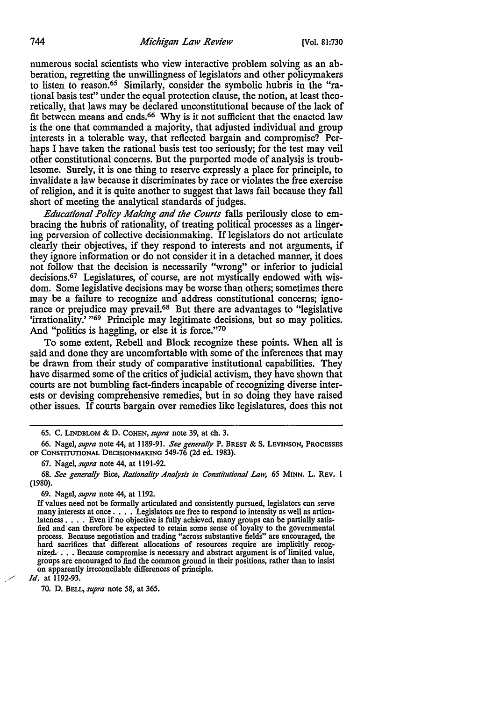numerous social scientists who view interactive problem solving as an abberation, regretting the unwillingness of legislators and other policymakers to listen to reason.65 Similarly, consider the symbolic hubris in the "rational basis test" under the equal protection clause, the notion, at least theoretically, that laws may be declared unconstitutional because of the lack of fit between means and ends.<sup>66</sup> Why is it not sufficient that the enacted law is the one that commanded a majority, that adjusted individual and group interests in a tolerable way, that reflected bargain and compromise? Perhaps I have taken the rational basis test too seriously; for the test may veil other constitutional concerns. But the purported mode of analysis is troublesome. Surely, it is one thing to reserve expressly a place for principle, to invalidate a law because it discriminates by race or violates the free exercise of religion, and it is quite another to suggest that laws fail because they fall short of meeting the analytical standards of judges.

*Educational Policy Making and the Courts* falls perilously close to embracing the hubris of rationality, of treating political processes as a lingering perversion of collective decisionmaking. If legislators do not articulate clearly their objectives, if they respond to interests and not arguments, if they ignore information or do not consider it in a detached manner, it does not follow that the decision is necessarily "wrong" or inferior to judicial decisions.67 Legislatures, of course, are not mystically endowed with wisdom. Some legislative decisions may be worse than others; sometimes there may be a failure to recognize and address constitutional concerns; ignorance or prejudice may prevail.<sup>68</sup> But there are advantages to "legislative 'irrationality.' "69 Principle may legitimate decisions, but so may politics. And "politics is haggling, or else it is force."70

To some extent, Rebell and Block recognize these points. When all is said and done they are uncomfortable with some of the inferences that may be drawn from their study of comparative institutional capabilities. They have disarmed some of the critics of judicial activism, they have shown that courts are not bumbling fact-finders incapable of recognizing diverse interests or devising comprehensive remedies, but in so doing they have raised other issues. If courts bargain over remedies like legislatures, does this not

69. Nagel, *supra* note 44, at 1192.

If values need not be formally articulated and consistently pursued, legislators can serve many interests at once . • . . Legislators are free to respond to intensity as well as articulateness . . . . Even if no objective is fully achieved, many groups can be partially satisfied and can therefore be expected to retain some sense of loyalty to the governmental process. Because negotiation and trading "across substantive fields" are encouraged, the hard sacrifices that different allocations of resources require are implicitly recognized,  $\ldots$  Because compromise is necessary and abstract argument is of limited value, groups are encouraged to find the common ground in their positions, rather than to insist on apparently irreconcilable differences of principle.

*/ Id.* at 1192-93.

70. D. BELL, *supra* note 58, at 365.

<sup>65.</sup> C. LINDBLOM & D. COHEN, *supra* note 39, at ch. 3.

<sup>66.</sup> Nagel, *supra* note 44, at 1189-91. *See generally* P. BREST & s. LEVINSON, PROCESSES OF CONSTITUTIONAL DECISIONMAKING 549-76 (2d ed. 1983).

<sup>67.</sup> Nagel, *supra* note 44, at 1191-92.

<sup>68.</sup> *See generally* Bice, *Rationality Analysis in Constitutional Law,* 65 MINN. L. REV. I (1980).